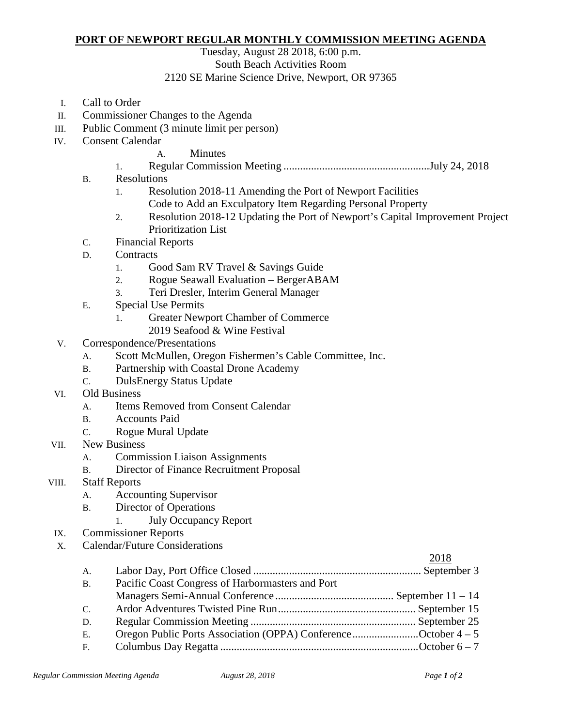## **PORT OF NEWPORT REGULAR MONTHLY COMMISSION MEETING AGENDA**

Tuesday, August 28 2018, 6:00 p.m.

South Beach Activities Room

2120 SE Marine Science Drive, Newport, OR 97365

- I. Call to Order
- II. Commissioner Changes to the Agenda
- III. Public Comment (3 minute limit per person)
- IV. Consent Calendar
	- A. Minutes
	- 1. Regular Commission Meeting .....................................................July 24, 2018
	- B. Resolutions
		- 1. Resolution 2018-11 Amending the Port of Newport Facilities Code to Add an Exculpatory Item Regarding Personal Property
		- 2. Resolution 2018-12 Updating the Port of Newport's Capital Improvement Project Prioritization List
	- C. Financial Reports
	- D. Contracts
		- 1. Good Sam RV Travel & Savings Guide
		- 2. Rogue Seawall Evaluation BergerABAM
		- 3. Teri Dresler, Interim General Manager
	- E. Special Use Permits
		- 1. Greater Newport Chamber of Commerce
		- 2019 Seafood & Wine Festival
- V. Correspondence/Presentations
	- A. Scott McMullen, Oregon Fishermen's Cable Committee, Inc.
	- B. Partnership with Coastal Drone Academy
	- C. DulsEnergy Status Update
- VI. Old Business
	- A. Items Removed from Consent Calendar
	- B. Accounts Paid
	- C. Rogue Mural Update
- VII. New Business
	- A. Commission Liaison Assignments
	- B. Director of Finance Recruitment Proposal
- VIII. Staff Reports
	- A. Accounting Supervisor
	- B. Director of Operations
		- 1. July Occupancy Report
- IX. Commissioner Reports
- X. Calendar/Future Considerations

## 2018 A. Labor Day, Port Office Closed ............................................................. September 3 B. Pacific Coast Congress of Harbormasters and Port Managers Semi-Annual Conference ........................................... September 11 – 14 C. Ardor Adventures Twisted Pine Run.................................................. September 15 D. Regular Commission Meeting ............................................................ September 25 E. Oregon Public Ports Association (OPPA) Conference............................October  $4-5$ F. Columbus Day Regatta ........................................................................October 6 – 7